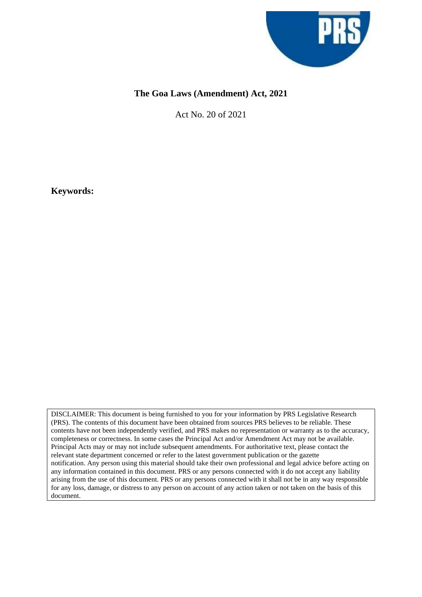

# **The Goa Laws (Amendment) Act, 2021**

Act No. 20 of 2021

**Keywords:**

DISCLAIMER: This document is being furnished to you for your information by PRS Legislative Research (PRS). The contents of this document have been obtained from sources PRS believes to be reliable. These contents have not been independently verified, and PRS makes no representation or warranty as to the accuracy, completeness or correctness. In some cases the Principal Act and/or Amendment Act may not be available. Principal Acts may or may not include subsequent amendments. For authoritative text, please contact the relevant state department concerned or refer to the latest government publication or the gazette notification. Any person using this material should take their own professional and legal advice before acting on any information contained in this document. PRS or any persons connected with it do not accept any liability arising from the use of this document. PRS or any persons connected with it shall not be in any way responsible for any loss, damage, or distress to any person on account of any action taken or not taken on the basis of this document.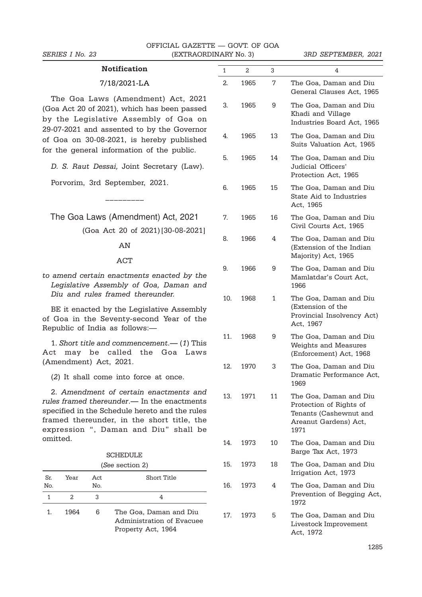### **Notification**

#### 7/18/2021-LA

The Goa Laws (Amendment) Act, 2021 (Goa Act 20 of 2021), which has been passed by the Legislative Assembly of Goa on 29-07-2021 and assented to by the Governor of Goa on 30-08-2021, is hereby published for the general information of the public.

D. S. Raut Dessai, Joint Secretary (Law).

Porvorim, 3rd September, 2021.

The Goa Laws (Amendment) Act, 2021

–––––––––

(Goa Act 20 of 2021)[30-08-2021]

## AN

#### ACT

to amend certain enactments enacted by the Legislative Assembly of Goa, Daman and Diu and rules framed thereunder.

BE it enacted by the Legislative Assembly of Goa in the Seventy-second Year of the Republic of India as follows:—

1. Short title and commencement.— (1) This Act may be called the Goa Laws (Amendment) Act, 2021.

(2) It shall come into force at once.

2. Amendment of certain enactments and rules framed thereunder.— In the enactments specified in the Schedule hereto and the rules framed thereunder, in the short title, the expression ", Daman and Diu" shall be omitted.

| (See section 2) |      |             |                                                                           |  |  |  |  |  |  |
|-----------------|------|-------------|---------------------------------------------------------------------------|--|--|--|--|--|--|
| Sr.<br>No.      | Year | Act.<br>No. | Short Title                                                               |  |  |  |  |  |  |
| 1               | 2.   | З           | 4                                                                         |  |  |  |  |  |  |
|                 | 1964 | 6           | The Goa, Daman and Diu<br>Administration of Evacuee<br>Property Act, 1964 |  |  |  |  |  |  |

| 1   | 2    | 3  | 4                                                                                                            |
|-----|------|----|--------------------------------------------------------------------------------------------------------------|
| 2.  | 1965 | 7  | The Goa, Daman and Diu<br>General Clauses Act, 1965                                                          |
| 3.  | 1965 | 9  | The Goa, Daman and Diu<br>Khadi and Village<br>Industries Board Act, 1965                                    |
| 4.  | 1965 | 13 | The Goa, Daman and Diu<br>Suits Valuation Act, 1965                                                          |
| 5.  | 1965 | 14 | The Goa, Daman and Diu<br>Judicial Officers'<br>Protection Act, 1965                                         |
| 6.  | 1965 | 15 | The Goa, Daman and Diu<br>State Aid to Industries<br>Act, 1965                                               |
| 7.  | 1965 | 16 | The Goa, Daman and Diu<br>Civil Courts Act, 1965                                                             |
| 8.  | 1966 | 4  | The Goa, Daman and Diu<br>(Extension of the Indian<br>Majority) Act, 1965                                    |
| 9.  | 1966 | 9  | The Goa, Daman and Diu<br>Mamlatdar's Court Act,<br>1966                                                     |
| 10. | 1968 | 1  | The Goa, Daman and Diu<br>(Extension of the<br>Provincial Insolvency Act)<br>Act, 1967                       |
| 11. | 1968 | 9  | The Goa, Daman and Diu<br>Weights and Measures<br>(Enforcement) Act, 1968                                    |
| 12. | 1970 | 3  | The Goa, Daman and Diu<br>Dramatic Performance Act,<br>1969                                                  |
| 13. | 1971 | 11 | The Goa, Daman and Diu<br>Protection of Rights of<br>Tenants (Cashewnut and<br>Areanut Gardens) Act,<br>1971 |
| 14. | 1973 | 10 | The Goa, Daman and Diu<br>Barge Tax Act, 1973                                                                |
| 15. | 1973 | 18 | The Goa, Daman and Diu<br>Irrigation Act, 1973                                                               |
| 16. | 1973 | 4  | The Goa, Daman and Diu<br>Prevention of Begging Act,<br>1972                                                 |
| 17. | 1973 | 5  | The Goa, Daman and Diu<br>Livestock Improvement<br>Act, 1972                                                 |